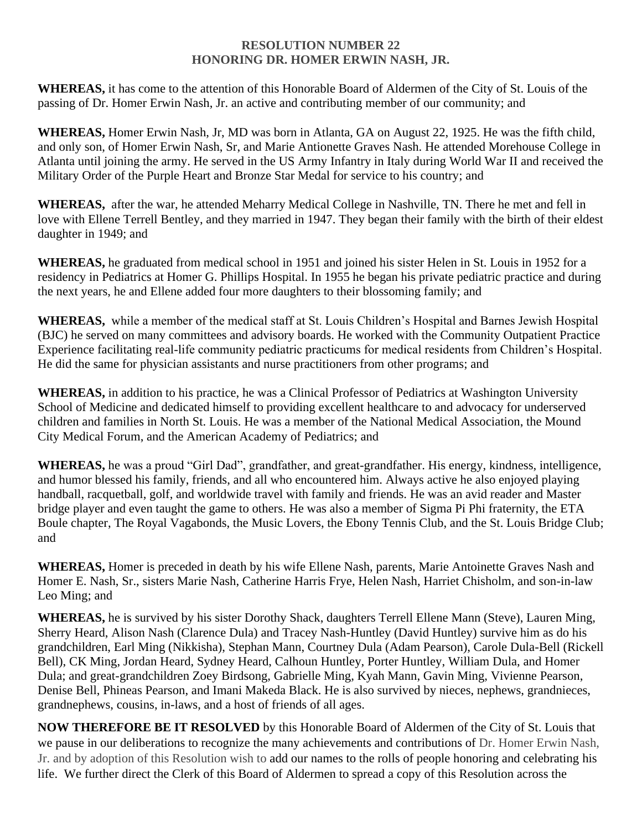## **RESOLUTION NUMBER 22 HONORING DR. HOMER ERWIN NASH, JR.**

**WHEREAS,** it has come to the attention of this Honorable Board of Aldermen of the City of St. Louis of the passing of Dr. Homer Erwin Nash, Jr. an active and contributing member of our community; and

**WHEREAS,** Homer Erwin Nash, Jr, MD was born in Atlanta, GA on August 22, 1925. He was the fifth child, and only son, of Homer Erwin Nash, Sr, and Marie Antionette Graves Nash. He attended Morehouse College in Atlanta until joining the army. He served in the US Army Infantry in Italy during World War II and received the Military Order of the Purple Heart and Bronze Star Medal for service to his country; and

**WHEREAS,** after the war, he attended Meharry Medical College in Nashville, TN. There he met and fell in love with Ellene Terrell Bentley, and they married in 1947. They began their family with the birth of their eldest daughter in 1949; and

**WHEREAS,** he graduated from medical school in 1951 and joined his sister Helen in St. Louis in 1952 for a residency in Pediatrics at Homer G. Phillips Hospital. In 1955 he began his private pediatric practice and during the next years, he and Ellene added four more daughters to their blossoming family; and

**WHEREAS,** while a member of the medical staff at St. Louis Children's Hospital and Barnes Jewish Hospital (BJC) he served on many committees and advisory boards. He worked with the Community Outpatient Practice Experience facilitating real-life community pediatric practicums for medical residents from Children's Hospital. He did the same for physician assistants and nurse practitioners from other programs; and

**WHEREAS,** in addition to his practice, he was a Clinical Professor of Pediatrics at Washington University School of Medicine and dedicated himself to providing excellent healthcare to and advocacy for underserved children and families in North St. Louis. He was a member of the National Medical Association, the Mound City Medical Forum, and the American Academy of Pediatrics; and

**WHEREAS,** he was a proud "Girl Dad", grandfather, and great-grandfather. His energy, kindness, intelligence, and humor blessed his family, friends, and all who encountered him. Always active he also enjoyed playing handball, racquetball, golf, and worldwide travel with family and friends. He was an avid reader and Master bridge player and even taught the game to others. He was also a member of Sigma Pi Phi fraternity, the ETA Boule chapter, The Royal Vagabonds, the Music Lovers, the Ebony Tennis Club, and the St. Louis Bridge Club; and

**WHEREAS,** Homer is preceded in death by his wife Ellene Nash, parents, Marie Antoinette Graves Nash and Homer E. Nash, Sr., sisters Marie Nash, Catherine Harris Frye, Helen Nash, Harriet Chisholm, and son-in-law Leo Ming; and

**WHEREAS,** he is survived by his sister Dorothy Shack, daughters Terrell Ellene Mann (Steve), Lauren Ming, Sherry Heard, Alison Nash (Clarence Dula) and Tracey Nash-Huntley (David Huntley) survive him as do his grandchildren, Earl Ming (Nikkisha), Stephan Mann, Courtney Dula (Adam Pearson), Carole Dula-Bell (Rickell Bell), CK Ming, Jordan Heard, Sydney Heard, Calhoun Huntley, Porter Huntley, William Dula, and Homer Dula; and great-grandchildren Zoey Birdsong, Gabrielle Ming, Kyah Mann, Gavin Ming, Vivienne Pearson, Denise Bell, Phineas Pearson, and Imani Makeda Black. He is also survived by nieces, nephews, grandnieces, grandnephews, cousins, in-laws, and a host of friends of all ages.

**NOW THEREFORE BE IT RESOLVED** by this Honorable Board of Aldermen of the City of St. Louis that we pause in our deliberations to recognize the many achievements and contributions of Dr. Homer Erwin Nash, Jr. and by adoption of this Resolution wish to add our names to the rolls of people honoring and celebrating his life. We further direct the Clerk of this Board of Aldermen to spread a copy of this Resolution across the